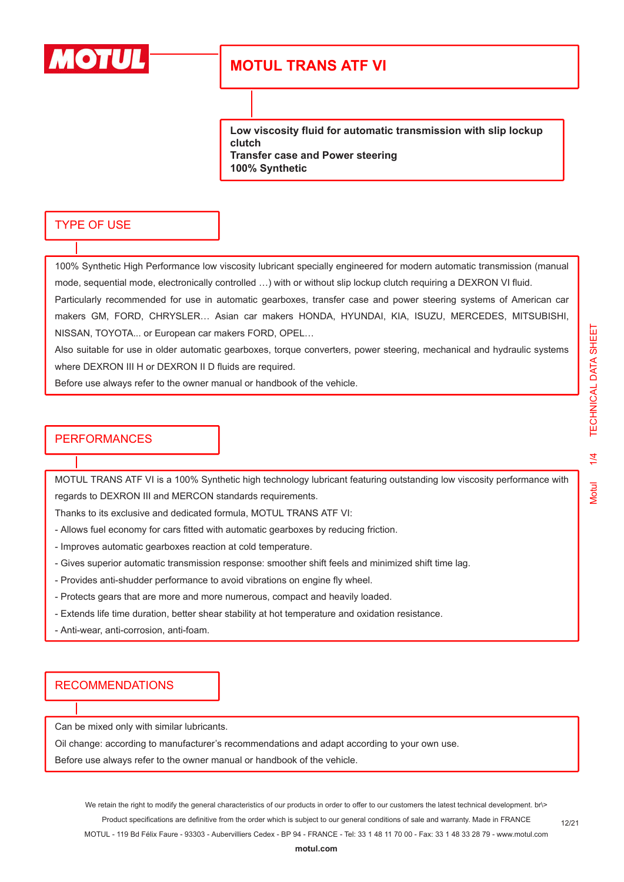

**Low viscosity fluid for automatic transmission with slip lockup clutch Transfer case and Power steering 100% Synthetic**

#### TYPE OF USE

100% Synthetic High Performance low viscosity lubricant specially engineered for modern automatic transmission (manual mode, sequential mode, electronically controlled …) with or without slip lockup clutch requiring a DEXRON VI fluid. Particularly recommended for use in automatic gearboxes, transfer case and power steering systems of American car makers GM, FORD, CHRYSLER… Asian car makers HONDA, HYUNDAI, KIA, ISUZU, MERCEDES, MITSUBISHI, NISSAN, TOYOTA... or European car makers FORD, OPEL…

Also suitable for use in older automatic gearboxes, torque converters, power steering, mechanical and hydraulic systems where DEXRON III H or DEXRON II D fluids are required.

Before use always refer to the owner manual or handbook of the vehicle.

#### PERFORMANCES

MOTUL TRANS ATF VI is a 100% Synthetic high technology lubricant featuring outstanding low viscosity performance with regards to DEXRON III and MERCON standards requirements.

Thanks to its exclusive and dedicated formula, MOTUL TRANS ATF VI:

- Allows fuel economy for cars fitted with automatic gearboxes by reducing friction.
- Improves automatic gearboxes reaction at cold temperature.
- Gives superior automatic transmission response: smoother shift feels and minimized shift time lag.
- Provides anti-shudder performance to avoid vibrations on engine fly wheel.
- Protects gears that are more and more numerous, compact and heavily loaded.
- Extends life time duration, better shear stability at hot temperature and oxidation resistance.
- Anti-wear, anti-corrosion, anti-foam.

### **RECOMMENDATIONS**

Can be mixed only with similar lubricants.

Oil change: according to manufacturer's recommendations and adapt according to your own use.

Before use always refer to the owner manual or handbook of the vehicle.

We retain the right to modify the general characteristics of our products in order to offer to our customers the latest technical development. br\> Product specifications are definitive from the order which is subject to our general conditions of sale and warranty. Made in FRANCE MOTUL - 119 Bd Félix Faure - 93303 - Aubervilliers Cedex - BP 94 - FRANCE - Tel: 33 1 48 11 70 00 - Fax: 33 1 48 33 28 79 - www.motul.com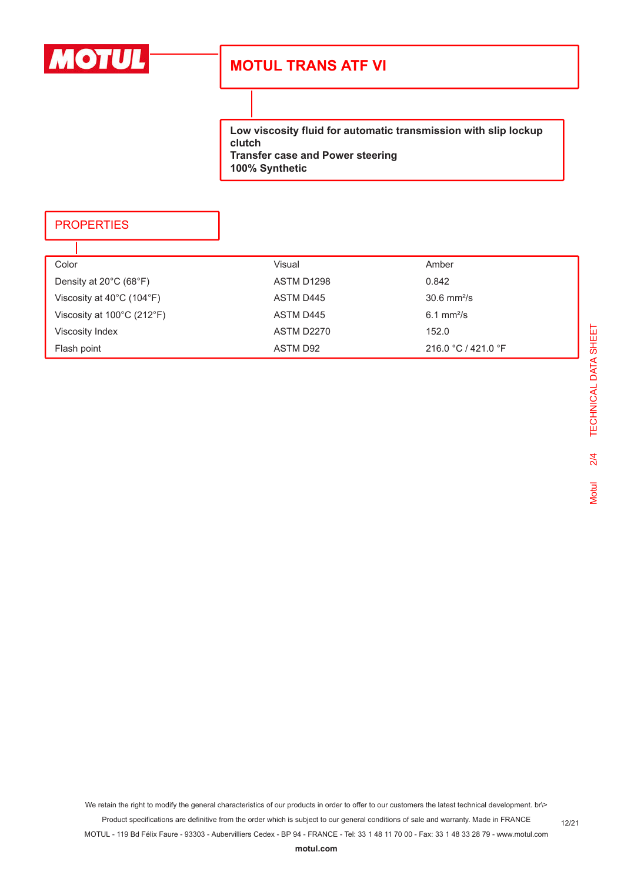

**Low viscosity fluid for automatic transmission with slip lockup clutch Transfer case and Power steering 100% Synthetic**

### **PROPERTIES**

٦

| Color                                           | Visual     | Amber                    |
|-------------------------------------------------|------------|--------------------------|
| Density at $20^{\circ}$ C (68 $^{\circ}$ F)     | ASTM D1298 | 0.842                    |
| Viscosity at $40^{\circ}$ C (104 $^{\circ}$ F)  | ASTM D445  | $30.6 \text{ mm}^2$ /s   |
| Viscosity at $100^{\circ}$ C (212 $^{\circ}$ F) | ASTM D445  | $6.1$ mm <sup>2</sup> /s |
| Viscosity Index                                 | ASTM D2270 | 152.0                    |
| Flash point                                     | ASTM D92   | 216.0 °C / 421.0 °F      |

We retain the right to modify the general characteristics of our products in order to offer to our customers the latest technical development. br\>

Product specifications are definitive from the order which is subject to our general conditions of sale and warranty. Made in FRANCE MOTUL - 119 Bd Félix Faure - 93303 - Aubervilliers Cedex - BP 94 - FRANCE - Tel: 33 1 48 11 70 00 - Fax: 33 1 48 33 28 79 - www.motul.com

**[motul.com](http://www.motul.com)**

12/21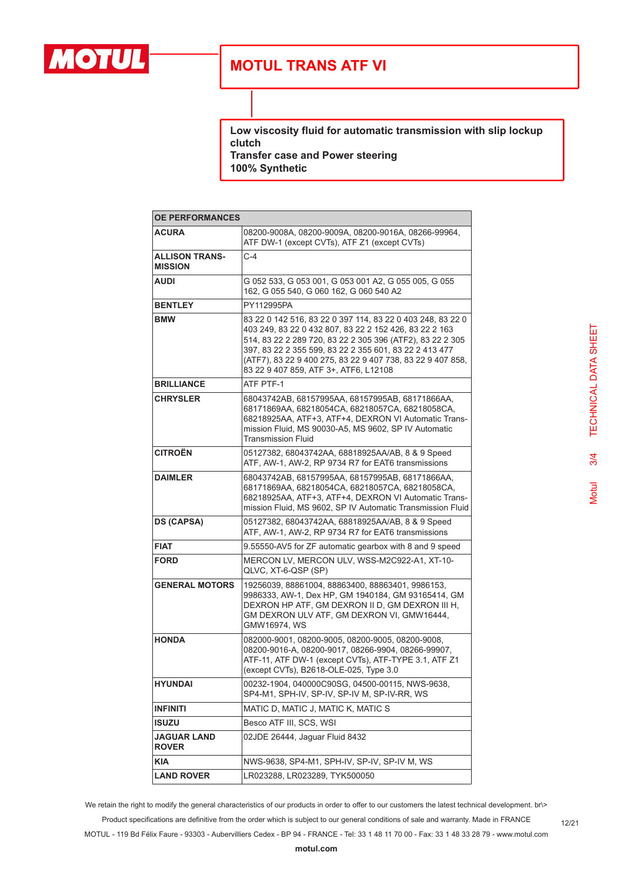

**Low viscosity fluid for automatic transmission with slip lockup clutch**

**Transfer case and Power steering 100% Synthetic**

| <b>OE PERFORMANCES</b>                  |                                                                                                                                                                                                                                                                                                                                                    |  |
|-----------------------------------------|----------------------------------------------------------------------------------------------------------------------------------------------------------------------------------------------------------------------------------------------------------------------------------------------------------------------------------------------------|--|
| <b>ACURA</b>                            | 08200-9008A, 08200-9009A, 08200-9016A, 08266-99964,<br>ATF DW-1 (except CVTs), ATF Z1 (except CVTs)                                                                                                                                                                                                                                                |  |
| <b>ALLISON TRANS-</b><br><b>MISSION</b> | $C-4$                                                                                                                                                                                                                                                                                                                                              |  |
| AUDI                                    | G 052 533, G 053 001, G 053 001 A2, G 055 005, G 055<br>162, G 055 540, G 060 162, G 060 540 A2                                                                                                                                                                                                                                                    |  |
| <b>BENTLEY</b>                          | PY112995PA                                                                                                                                                                                                                                                                                                                                         |  |
| <b>BMW</b>                              | 83 22 0 142 516, 83 22 0 397 114, 83 22 0 403 248, 83 22 0<br>403 249, 83 22 0 432 807, 83 22 2 152 426, 83 22 2 163<br>514, 83 22 2 289 720, 83 22 2 305 396 (ATF2), 83 22 2 305<br>397, 83 22 2 355 599, 83 22 2 355 601, 83 22 2 413 477<br>(ATF7), 83 22 9 400 275, 83 22 9 407 738, 83 22 9 407 858,<br>83 22 9 407 859, ATF 3+, ATF6, L12108 |  |
| <b>BRILLIANCE</b>                       | ATF PTF-1                                                                                                                                                                                                                                                                                                                                          |  |
| <b>CHRYSLER</b>                         | 68043742AB, 68157995AA, 68157995AB, 68171866AA,<br>68171869AA, 68218054CA, 68218057CA, 68218058CA,<br>68218925AA, ATF+3, ATF+4, DEXRON VI Automatic Trans-<br>mission Fluid, MS 90030-A5, MS 9602, SP IV Automatic<br><b>Transmission Fluid</b>                                                                                                    |  |
| <b>CITROËN</b>                          | 05127382, 68043742AA, 68818925AA/AB, 8 & 9 Speed<br>ATF, AW-1, AW-2, RP 9734 R7 for EAT6 transmissions                                                                                                                                                                                                                                             |  |
| <b>DAIMLER</b>                          | 68043742AB, 68157995AA, 68157995AB, 68171866AA,<br>68171869AA, 68218054CA, 68218057CA, 68218058CA,<br>68218925AA, ATF+3, ATF+4, DEXRON VI Automatic Trans-<br>mission Fluid, MS 9602, SP IV Automatic Transmission Fluid                                                                                                                           |  |
| <b>DS (CAPSA)</b>                       | 05127382, 68043742AA, 68818925AA/AB, 8 & 9 Speed<br>ATF, AW-1, AW-2, RP 9734 R7 for EAT6 transmissions                                                                                                                                                                                                                                             |  |
| <b>FIAT</b>                             | 9.55550-AV5 for ZF automatic gearbox with 8 and 9 speed                                                                                                                                                                                                                                                                                            |  |
| <b>FORD</b>                             | MERCON LV, MERCON ULV, WSS-M2C922-A1, XT-10-<br>QLVC, XT-6-QSP (SP)                                                                                                                                                                                                                                                                                |  |
| <b>GENERAL MOTORS</b>                   | 19256039, 88861004, 88863400, 88863401, 9986153,<br>9986333, AW-1, Dex HP, GM 1940184, GM 93165414, GM<br>DEXRON HP ATF, GM DEXRON II D, GM DEXRON III H,<br>GM DEXRON ULV ATF, GM DEXRON VI, GMW16444,<br>GMW16974, WS                                                                                                                            |  |
| <b>HONDA</b>                            | 082000-9001, 08200-9005, 08200-9005, 08200-9008,<br>08200-9016-A, 08200-9017, 08266-9904, 08266-99907,<br>ATF-11, ATF DW-1 (except CVTs), ATF-TYPE 3.1, ATF Z1<br>(except CVTs), B2618-OLE-025, Type 3.0                                                                                                                                           |  |
| <b>HYUNDAI</b>                          | 00232-1904, 040000C90SG, 04500-00115, NWS-9638,<br>SP4-M1, SPH-IV, SP-IV, SP-IV M, SP-IV-RR, WS                                                                                                                                                                                                                                                    |  |
| <b>INFINITI</b>                         | MATIC D, MATIC J, MATIC K, MATIC S                                                                                                                                                                                                                                                                                                                 |  |
| <b>ISUZU</b>                            | Besco ATF III, SCS, WSI                                                                                                                                                                                                                                                                                                                            |  |
| <b>JAGUAR LAND</b><br><b>ROVER</b>      | 02JDE 26444, Jaguar Fluid 8432                                                                                                                                                                                                                                                                                                                     |  |
| <b>KIA</b>                              | NWS-9638, SP4-M1, SPH-IV, SP-IV, SP-IV M, WS                                                                                                                                                                                                                                                                                                       |  |
| <b>LAND ROVER</b>                       | LR023288, LR023289, TYK500050                                                                                                                                                                                                                                                                                                                      |  |

We retain the right to modify the general characteristics of our products in order to offer to our customers the latest technical development. br\> Product specifications are definitive from the order which is subject to our general conditions of sale and warranty. Made in FRANCE

MOTUL - 119 Bd Félix Faure - 93303 - Aubervilliers Cedex - BP 94 - FRANCE - Tel: 33 1 48 11 70 00 - Fax: 33 1 48 33 28 79 - www.motul.com

12/21